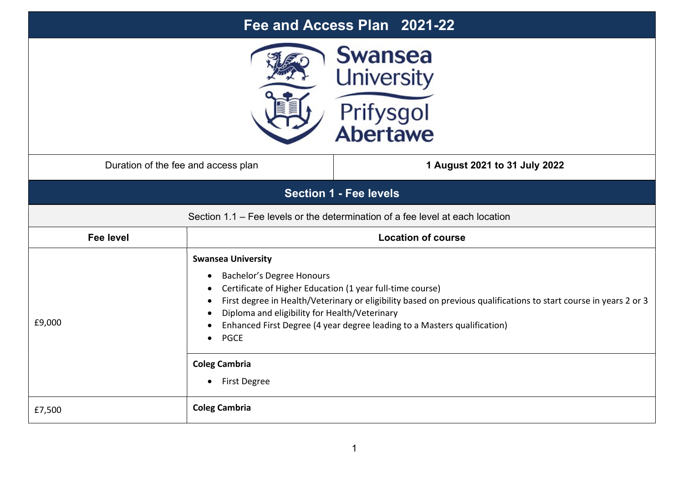| Fee and Access Plan 2021-22                                                   |                                                                                                                                                                                                                                                                                                                                                                                                                                                  |                               |  |  |
|-------------------------------------------------------------------------------|--------------------------------------------------------------------------------------------------------------------------------------------------------------------------------------------------------------------------------------------------------------------------------------------------------------------------------------------------------------------------------------------------------------------------------------------------|-------------------------------|--|--|
| <b>Swansea</b><br><b>University</b><br>Prifysgol<br>Abertawe                  |                                                                                                                                                                                                                                                                                                                                                                                                                                                  |                               |  |  |
| Duration of the fee and access plan                                           |                                                                                                                                                                                                                                                                                                                                                                                                                                                  | 1 August 2021 to 31 July 2022 |  |  |
| <b>Section 1 - Fee levels</b>                                                 |                                                                                                                                                                                                                                                                                                                                                                                                                                                  |                               |  |  |
| Section 1.1 – Fee levels or the determination of a fee level at each location |                                                                                                                                                                                                                                                                                                                                                                                                                                                  |                               |  |  |
| Fee level                                                                     | <b>Location of course</b>                                                                                                                                                                                                                                                                                                                                                                                                                        |                               |  |  |
| £9,000                                                                        | <b>Swansea University</b><br>Bachelor's Degree Honours<br>Certificate of Higher Education (1 year full-time course)<br>First degree in Health/Veterinary or eligibility based on previous qualifications to start course in years 2 or 3<br>Diploma and eligibility for Health/Veterinary<br>Enhanced First Degree (4 year degree leading to a Masters qualification)<br><b>PGCE</b><br><b>Coleg Cambria</b><br><b>First Degree</b><br>$\bullet$ |                               |  |  |
| £7,500                                                                        | <b>Coleg Cambria</b>                                                                                                                                                                                                                                                                                                                                                                                                                             |                               |  |  |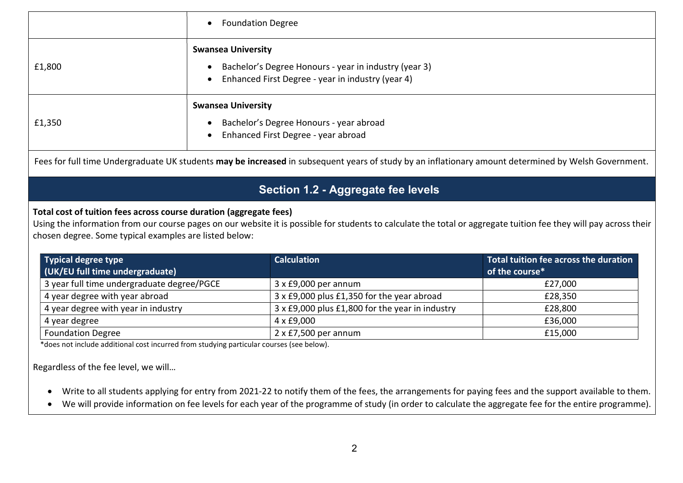|        | • Foundation Degree                                                                                                                                               |  |  |
|--------|-------------------------------------------------------------------------------------------------------------------------------------------------------------------|--|--|
| £1,800 | <b>Swansea University</b><br>Bachelor's Degree Honours - year in industry (year 3)<br>$\bullet$<br>Enhanced First Degree - year in industry (year 4)<br>$\bullet$ |  |  |
| £1,350 | <b>Swansea University</b><br>Bachelor's Degree Honours - year abroad<br>$\bullet$<br>• Enhanced First Degree - year abroad                                        |  |  |

Fees for full time Undergraduate UK students may be increased in subsequent years of study by an inflationary amount determined by Welsh Government.

# Section 1.2 - Aggregate fee levels

### Total cost of tuition fees across course duration (aggregate fees)

Using the information from our course pages on our website it is possible for students to calculate the total or aggregate tuition fee they will pay across their chosen degree. Some typical examples are listed below:

| <b>Typical degree type</b>                 | <b>Calculation</b>                              | Total tuition fee across the duration |
|--------------------------------------------|-------------------------------------------------|---------------------------------------|
| (UK/EU full time undergraduate)            |                                                 | of the course*                        |
| 3 year full time undergraduate degree/PGCE | $3 \times £9,000$ per annum                     | £27.000                               |
| 4 year degree with year abroad             | 3 x £9,000 plus £1,350 for the year abroad      | £28,350                               |
| 4 year degree with year in industry        | 3 x £9,000 plus £1,800 for the year in industry | £28,800                               |
| 4 year degree                              | 4 x £9,000                                      | £36,000                               |
| <b>Foundation Degree</b>                   | $2 \times$ £7,500 per annum                     | £15,000                               |

\*does not include additional cost incurred from studying particular courses (see below).

Regardless of the fee level, we will…

- Write to all students applying for entry from 2021-22 to notify them of the fees, the arrangements for paying fees and the support available to them.
- We will provide information on fee levels for each year of the programme of study (in order to calculate the aggregate fee for the entire programme).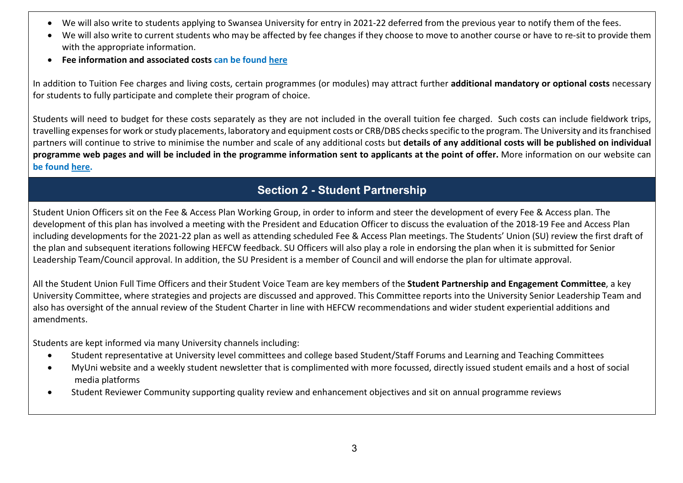- We will also write to students applying to Swansea University for entry in 2021-22 deferred from the previous year to notify them of the fees.
- We will also write to current students who may be affected by fee changes if they choose to move to another course or have to re-sit to provide them with the appropriate information.
- Fee information and associated costs can be found here

In addition to Tuition Fee charges and living costs, certain programmes (or modules) may attract further additional mandatory or optional costs necessary for students to fully participate and complete their program of choice.

Students will need to budget for these costs separately as they are not included in the overall tuition fee charged. Such costs can include fieldwork trips, travelling expenses for work or study placements, laboratory and equipment costs or CRB/DBS checks specific to the program. The University and its franchised partners will continue to strive to minimise the number and scale of any additional costs but details of any additional costs will be published on individual programme web pages and will be included in the programme information sent to applicants at the point of offer. More information on our website can be found here.

### Section 2 - Student Partnership

Student Union Officers sit on the Fee & Access Plan Working Group, in order to inform and steer the development of every Fee & Access plan. The development of this plan has involved a meeting with the President and Education Officer to discuss the evaluation of the 2018-19 Fee and Access Plan including developments for the 2021-22 plan as well as attending scheduled Fee & Access Plan meetings. The Students' Union (SU) review the first draft of the plan and subsequent iterations following HEFCW feedback. SU Officers will also play a role in endorsing the plan when it is submitted for Senior Leadership Team/Council approval. In addition, the SU President is a member of Council and will endorse the plan for ultimate approval.

All the Student Union Full Time Officers and their Student Voice Team are key members of the Student Partnership and Engagement Committee, a key University Committee, where strategies and projects are discussed and approved. This Committee reports into the University Senior Leadership Team and also has oversight of the annual review of the Student Charter in line with HEFCW recommendations and wider student experiential additions and amendments.

Students are kept informed via many University channels including:

- Student representative at University level committees and college based Student/Staff Forums and Learning and Teaching Committees
- MyUni website and a weekly student newsletter that is complimented with more focussed, directly issued student emails and a host of social media platforms
- Student Reviewer Community supporting quality review and enhancement objectives and sit on annual programme reviews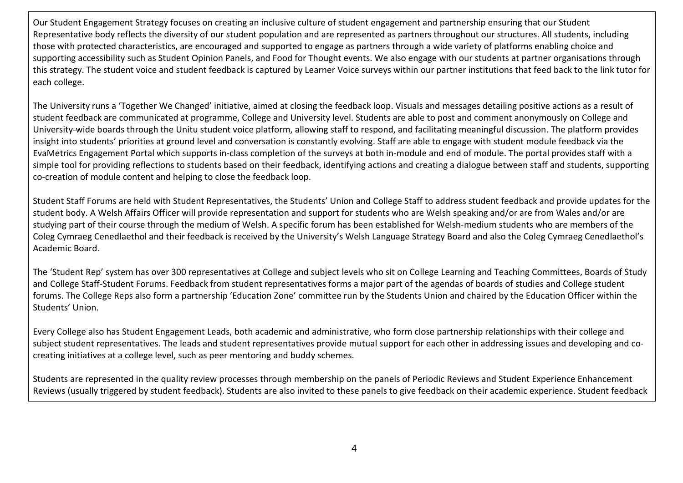Our Student Engagement Strategy focuses on creating an inclusive culture of student engagement and partnership ensuring that our Student Representative body reflects the diversity of our student population and are represented as partners throughout our structures. All students, including those with protected characteristics, are encouraged and supported to engage as partners through a wide variety of platforms enabling choice and supporting accessibility such as Student Opinion Panels, and Food for Thought events. We also engage with our students at partner organisations through this strategy. The student voice and student feedback is captured by Learner Voice surveys within our partner institutions that feed back to the link tutor for each college.

The University runs a 'Together We Changed' initiative, aimed at closing the feedback loop. Visuals and messages detailing positive actions as a result of student feedback are communicated at programme, College and University level. Students are able to post and comment anonymously on College and University-wide boards through the Unitu student voice platform, allowing staff to respond, and facilitating meaningful discussion. The platform provides insight into students' priorities at ground level and conversation is constantly evolving. Staff are able to engage with student module feedback via the EvaMetrics Engagement Portal which supports in-class completion of the surveys at both in-module and end of module. The portal provides staff with a simple tool for providing reflections to students based on their feedback, identifying actions and creating a dialogue between staff and students, supporting co-creation of module content and helping to close the feedback loop.

Student Staff Forums are held with Student Representatives, the Students' Union and College Staff to address student feedback and provide updates for the student body. A Welsh Affairs Officer will provide representation and support for students who are Welsh speaking and/or are from Wales and/or are studying part of their course through the medium of Welsh. A specific forum has been established for Welsh-medium students who are members of the Coleg Cymraeg Cenedlaethol and their feedback is received by the University's Welsh Language Strategy Board and also the Coleg Cymraeg Cenedlaethol's Academic Board.

The 'Student Rep' system has over 300 representatives at College and subject levels who sit on College Learning and Teaching Committees, Boards of Study and College Staff-Student Forums. Feedback from student representatives forms a major part of the agendas of boards of studies and College student forums. The College Reps also form a partnership 'Education Zone' committee run by the Students Union and chaired by the Education Officer within the Students' Union.

Every College also has Student Engagement Leads, both academic and administrative, who form close partnership relationships with their college and subject student representatives. The leads and student representatives provide mutual support for each other in addressing issues and developing and cocreating initiatives at a college level, such as peer mentoring and buddy schemes.

Students are represented in the quality review processes through membership on the panels of Periodic Reviews and Student Experience Enhancement Reviews (usually triggered by student feedback). Students are also invited to these panels to give feedback on their academic experience. Student feedback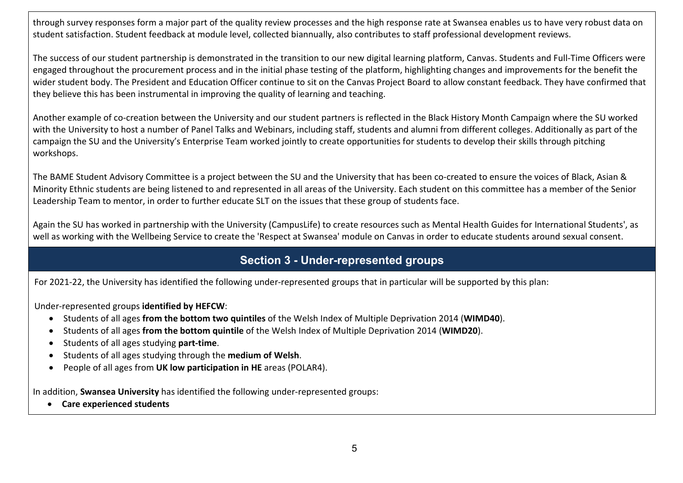through survey responses form a major part of the quality review processes and the high response rate at Swansea enables us to have very robust data on student satisfaction. Student feedback at module level, collected biannually, also contributes to staff professional development reviews.

The success of our student partnership is demonstrated in the transition to our new digital learning platform, Canvas. Students and Full-Time Officers were engaged throughout the procurement process and in the initial phase testing of the platform, highlighting changes and improvements for the benefit the wider student body. The President and Education Officer continue to sit on the Canvas Project Board to allow constant feedback. They have confirmed that they believe this has been instrumental in improving the quality of learning and teaching.

Another example of co-creation between the University and our student partners is reflected in the Black History Month Campaign where the SU worked with the University to host a number of Panel Talks and Webinars, including staff, students and alumni from different colleges. Additionally as part of the campaign the SU and the University's Enterprise Team worked jointly to create opportunities for students to develop their skills through pitching workshops.

The BAME Student Advisory Committee is a project between the SU and the University that has been co-created to ensure the voices of Black, Asian & Minority Ethnic students are being listened to and represented in all areas of the University. Each student on this committee has a member of the Senior Leadership Team to mentor, in order to further educate SLT on the issues that these group of students face.

Again the SU has worked in partnership with the University (CampusLife) to create resources such as Mental Health Guides for International Students', as well as working with the Wellbeing Service to create the 'Respect at Swansea' module on Canvas in order to educate students around sexual consent.

### Section 3 - Under-represented groups

For 2021-22, the University has identified the following under-represented groups that in particular will be supported by this plan:

Under-represented groups identified by HEFCW:

- Students of all ages from the bottom two quintiles of the Welsh Index of Multiple Deprivation 2014 (WIMD40).
- Students of all ages from the bottom quintile of the Welsh Index of Multiple Deprivation 2014 (WIMD20).
- Students of all ages studying part-time.
- Students of all ages studying through the medium of Welsh.
- People of all ages from UK low participation in HE areas (POLAR4).

In addition, Swansea University has identified the following under-represented groups:

Care experienced students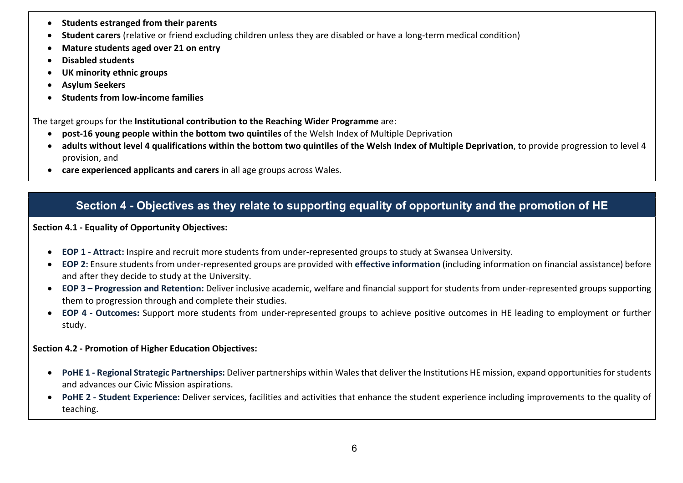- Students estranged from their parents
- Student carers (relative or friend excluding children unless they are disabled or have a long-term medical condition)
- Mature students aged over 21 on entry
- Disabled students
- UK minority ethnic groups
- Asylum Seekers
- Students from low-income families

The target groups for the Institutional contribution to the Reaching Wider Programme are:

- post-16 young people within the bottom two quintiles of the Welsh Index of Multiple Deprivation
- adults without level 4 qualifications within the bottom two quintiles of the Welsh Index of Multiple Deprivation, to provide progression to level 4 provision, and
- care experienced applicants and carers in all age groups across Wales.

## Section 4 - Objectives as they relate to supporting equality of opportunity and the promotion of HE

#### Section 4.1 - Equality of Opportunity Objectives:

- EOP 1 Attract: Inspire and recruit more students from under-represented groups to study at Swansea University.
- EOP 2: Ensure students from under-represented groups are provided with effective information (including information on financial assistance) before and after they decide to study at the University.
- EOP 3 Progression and Retention: Deliver inclusive academic, welfare and financial support for students from under-represented groups supporting them to progression through and complete their studies.
- EOP 4 Outcomes: Support more students from under-represented groups to achieve positive outcomes in HE leading to employment or further study.

#### Section 4.2 - Promotion of Higher Education Objectives:

- PoHE 1 Regional Strategic Partnerships: Deliver partnerships within Wales that deliver the Institutions HE mission, expand opportunities for students and advances our Civic Mission aspirations.
- PoHE 2 Student Experience: Deliver services, facilities and activities that enhance the student experience including improvements to the quality of teaching.